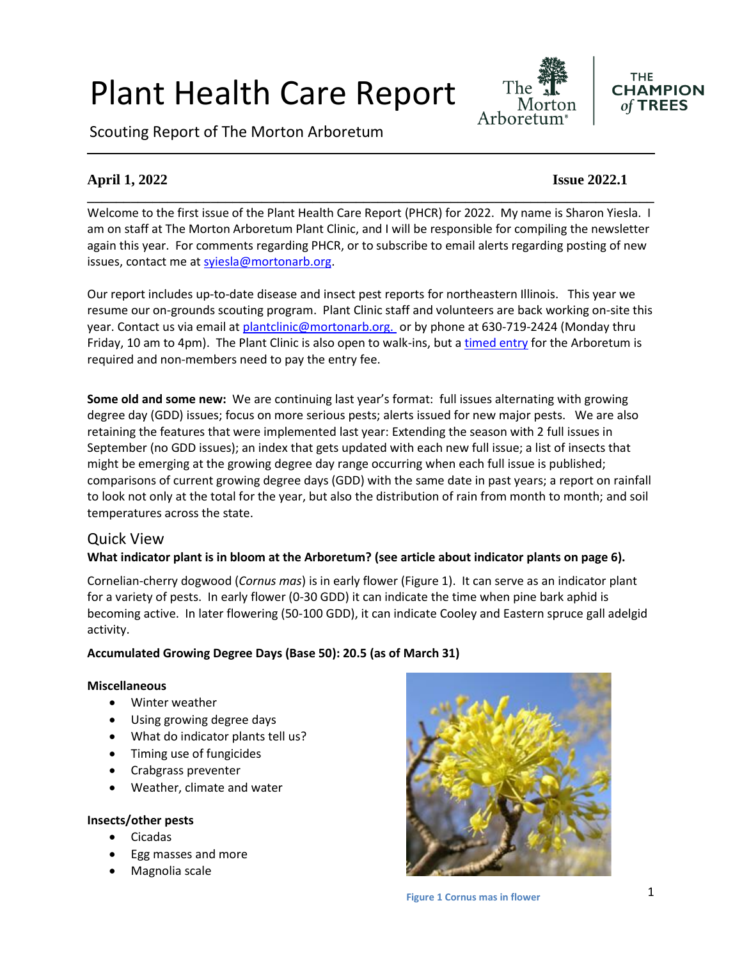# Plant Health Care Report

Scouting Report of The Morton Arboretum



#### **THE CHAMPION**  $of$  TREES

#### **April 1, 2022 Issue 2022.1**

Welcome to the first issue of the Plant Health Care Report (PHCR) for 2022. My name is Sharon Yiesla. I am on staff at The Morton Arboretum Plant Clinic, and I will be responsible for compiling the newsletter again this year. For comments regarding PHCR, or to subscribe to email alerts regarding posting of new issues, contact me at [syiesla@mortonarb.org.](mailto:syiesla@mortonarb.org)

**\_\_\_\_\_\_\_\_\_\_\_\_\_\_\_\_\_\_\_\_\_\_\_\_\_\_\_\_\_\_\_\_\_\_\_\_\_\_\_\_\_\_\_\_\_\_\_\_\_\_\_\_\_\_\_\_\_\_\_\_\_\_\_\_\_\_\_\_\_\_\_\_\_\_\_\_\_\_**

Our report includes up-to-date disease and insect pest reports for northeastern Illinois. This year we resume our on-grounds scouting program. Plant Clinic staff and volunteers are back working on-site this year. Contact us via email at [plantclinic@mortonarb.org.](mailto:plantclinic@mortonarb.org) or by phone at 630-719-2424 (Monday thru Friday, 10 am to 4pm). The Plant Clinic is also open to walk-ins, but [a timed entry](https://mortonarb.org/visit-the-arboretum) for the Arboretum is required and non-members need to pay the entry fee.

**Some old and some new:** We are continuing last year's format: full issues alternating with growing degree day (GDD) issues; focus on more serious pests; alerts issued for new major pests. We are also retaining the features that were implemented last year: Extending the season with 2 full issues in September (no GDD issues); an index that gets updated with each new full issue; a list of insects that might be emerging at the growing degree day range occurring when each full issue is published; comparisons of current growing degree days (GDD) with the same date in past years; a report on rainfall to look not only at the total for the year, but also the distribution of rain from month to month; and soil temperatures across the state.

#### Quick View

#### **What indicator plant is in bloom at the Arboretum? (see article about indicator plants on page 6).**

Cornelian-cherry dogwood (*Cornus mas*) is in early flower (Figure 1). It can serve as an indicator plant for a variety of pests. In early flower (0-30 GDD) it can indicate the time when pine bark aphid is becoming active. In later flowering (50-100 GDD), it can indicate Cooley and Eastern spruce gall adelgid activity.

#### **Accumulated Growing Degree Days (Base 50): 20.5 (as of March 31)**

#### **Miscellaneous**

- Winter weather
- Using growing degree days
- What do indicator plants tell us?
- Timing use of fungicides
- Crabgrass preventer
- Weather, climate and water

#### **Insects/other pests**

- Cicadas
- Egg masses and more
- Magnolia scale

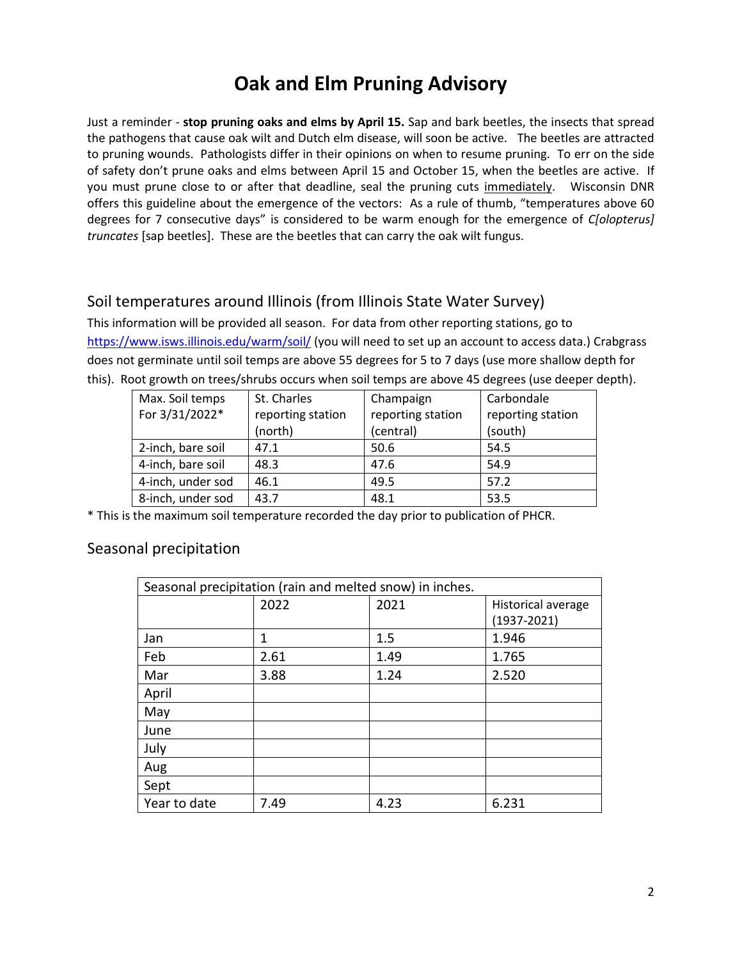## **Oak and Elm Pruning Advisory**

Just a reminder - **stop pruning oaks and elms by April 15.** Sap and bark beetles, the insects that spread the pathogens that cause oak wilt and Dutch elm disease, will soon be active. The beetles are attracted to pruning wounds. Pathologists differ in their opinions on when to resume pruning. To err on the side of safety don't prune oaks and elms between April 15 and October 15, when the beetles are active. If you must prune close to or after that deadline, seal the pruning cuts immediately. Wisconsin DNR offers this guideline about the emergence of the vectors: As a rule of thumb, "temperatures above 60 degrees for 7 consecutive days" is considered to be warm enough for the emergence of *C[olopterus] truncates* [sap beetles]. These are the beetles that can carry the oak wilt fungus.

#### Soil temperatures around Illinois (from Illinois State Water Survey)

This information will be provided all season. For data from other reporting stations, go to <https://www.isws.illinois.edu/warm/soil/> (you will need to set up an account to access data.) Crabgrass does not germinate until soil temps are above 55 degrees for 5 to 7 days (use more shallow depth for this). Root growth on trees/shrubs occurs when soil temps are above 45 degrees (use deeper depth).

| Max. Soil temps   | St. Charles       | Champaign         | Carbondale        |
|-------------------|-------------------|-------------------|-------------------|
| For 3/31/2022*    | reporting station | reporting station | reporting station |
|                   | (north)           | (central)         | (south)           |
| 2-inch, bare soil | 47.1              | 50.6              | 54.5              |
| 4-inch, bare soil | 48.3              | 47.6              | 54.9              |
| 4-inch, under sod | 46.1              | 49.5              | 57.2              |
| 8-inch, under sod | 43.7              | 48.1              | 53.5              |

\* This is the maximum soil temperature recorded the day prior to publication of PHCR.

#### Seasonal precipitation

| Seasonal precipitation (rain and melted snow) in inches. |      |      |                    |
|----------------------------------------------------------|------|------|--------------------|
|                                                          | 2022 | 2021 | Historical average |
|                                                          |      |      | $(1937 - 2021)$    |
| Jan                                                      | 1    | 1.5  | 1.946              |
| Feb                                                      | 2.61 | 1.49 | 1.765              |
| Mar                                                      | 3.88 | 1.24 | 2.520              |
| April                                                    |      |      |                    |
| May                                                      |      |      |                    |
| June                                                     |      |      |                    |
| July                                                     |      |      |                    |
| Aug                                                      |      |      |                    |
| Sept                                                     |      |      |                    |
| Year to date                                             | 7.49 | 4.23 | 6.231              |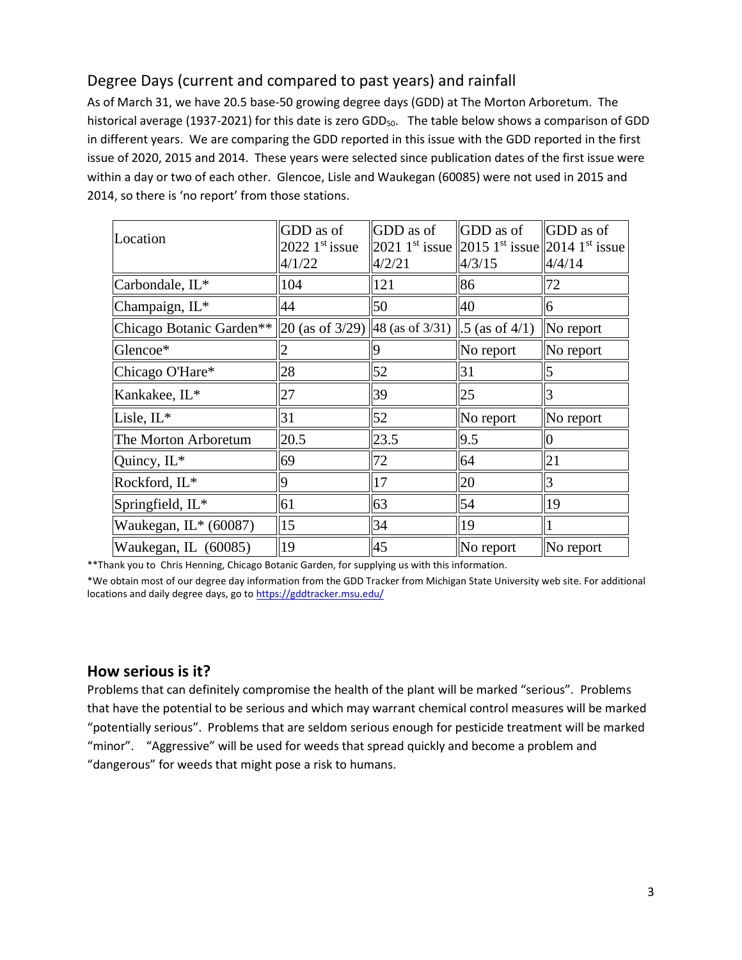### Degree Days (current and compared to past years) and rainfall

As of March 31, we have 20.5 base-50 growing degree days (GDD) at The Morton Arboretum. The historical average (1937-2021) for this date is zero GDD<sub>50</sub>. The table below shows a comparison of GDD in different years. We are comparing the GDD reported in this issue with the GDD reported in the first issue of 2020, 2015 and 2014. These years were selected since publication dates of the first issue were within a day or two of each other. Glencoe, Lisle and Waukegan (60085) were not used in 2015 and 2014, so there is 'no report' from those stations.

|                                                                         | GDD as of        | GDD as of | GDD as of                                                                        | <b>GDD</b> as of |
|-------------------------------------------------------------------------|------------------|-----------|----------------------------------------------------------------------------------|------------------|
| Location                                                                | $2022$ 1st issue |           | 2021 1 <sup>st</sup> issue 2015 1 <sup>st</sup> issue 2014 1 <sup>st</sup> issue |                  |
|                                                                         | 4/1/22           | 4/2/21    | 4/3/15                                                                           | 4/4/14           |
| Carbondale, IL*                                                         | 104              | 121       | 86                                                                               | 72               |
| Champaign, IL*                                                          | 44               | 50        | 40                                                                               | 6                |
| Chicago Botanic Garden** 20 (as of 3/29) 48 (as of 3/31) .5 (as of 4/1) |                  |           |                                                                                  | No report        |
| Glencoe*                                                                |                  | 9         | $\vert$ No report                                                                | No report        |
| Chicago O'Hare*                                                         | 28               | 52        | 31                                                                               | 15               |
| Kankakee, IL*                                                           | 27               | 39        | 25                                                                               | 3                |
| Lisle, IL*                                                              | 31               | 52        | $\ $ No report                                                                   | No report        |
| The Morton Arboretum                                                    | 20.5             | 23.5      | 9.5                                                                              | $\overline{0}$   |
| Quincy, IL*                                                             | 69               | 72        | 64                                                                               | 21               |
| Rockford, IL*                                                           | 9                | 17        | 20                                                                               | 3                |
| Springfield, IL*                                                        | 61               | 63        | 54                                                                               | 19               |
| Waukegan, IL* (60087)                                                   | 15               | 34        | <sup>19</sup>                                                                    |                  |
| Waukegan, IL (60085)                                                    | $ 19\rangle$     | 45        | $\ $ No report                                                                   | No report        |

\*\*Thank you to Chris Henning, Chicago Botanic Garden, for supplying us with this information.

\*We obtain most of our degree day information from the GDD Tracker from Michigan State University web site. For additional locations and daily degree days, go to <https://gddtracker.msu.edu/>

#### **How serious is it?**

Problems that can definitely compromise the health of the plant will be marked "serious".Problems that have the potential to be serious and which may warrant chemical control measures will be marked "potentially serious". Problems that are seldom serious enough for pesticide treatment will be marked "minor". "Aggressive" will be used for weeds that spread quickly and become a problem and "dangerous" for weeds that might pose a risk to humans.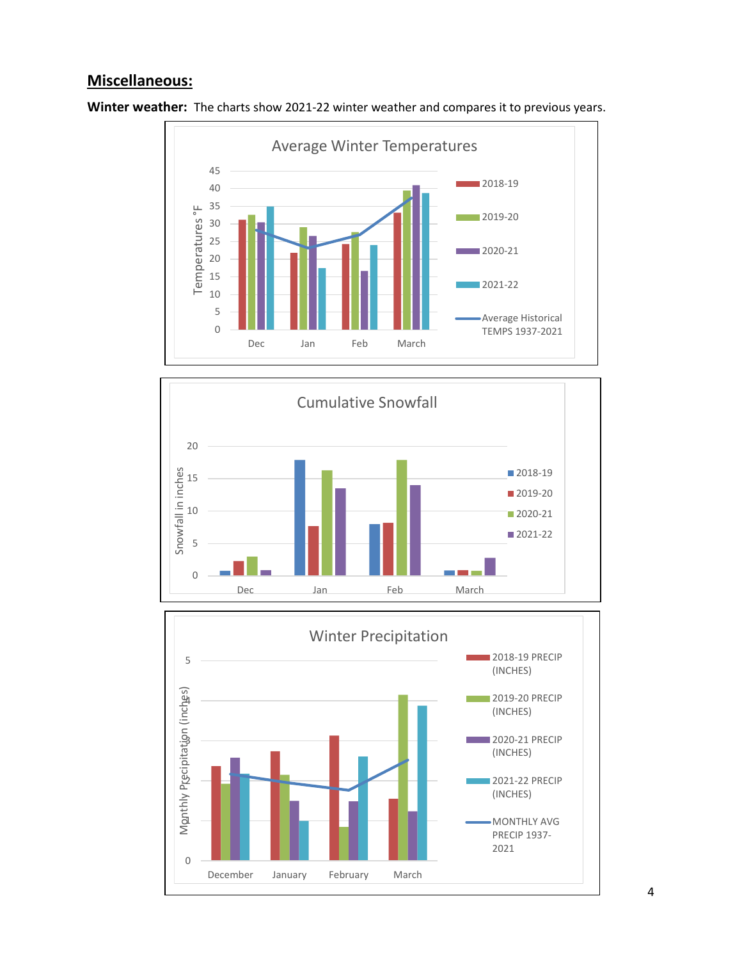#### **Miscellaneous:**



**Winter weather:** The charts show 2021-22 winter weather and compares it to previous years.



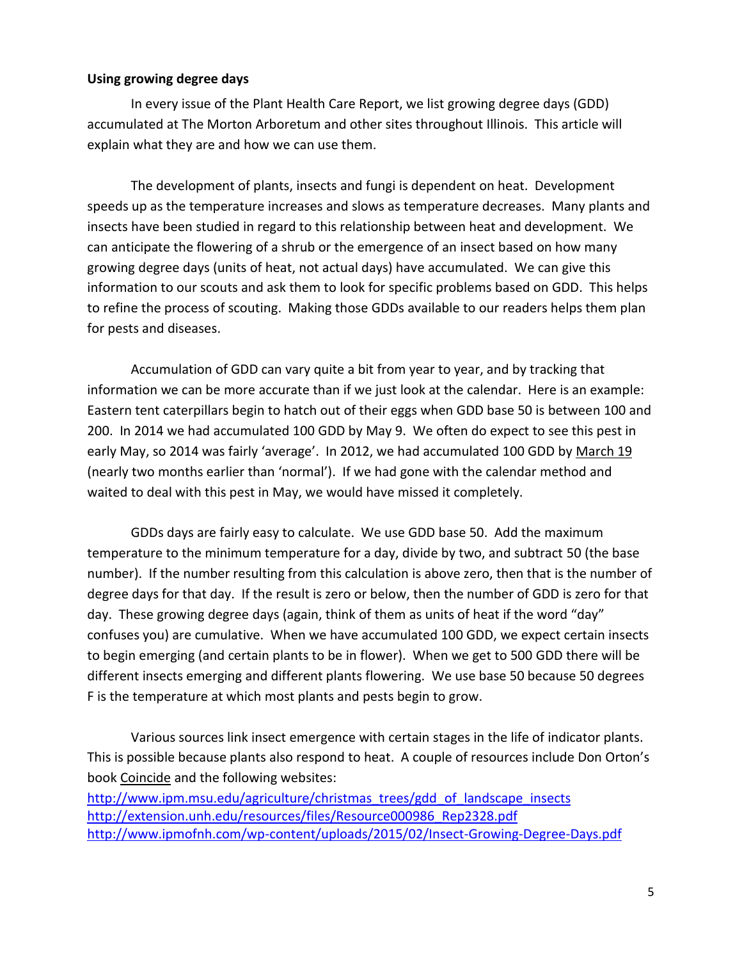#### **Using growing degree days**

In every issue of the Plant Health Care Report, we list growing degree days (GDD) accumulated at The Morton Arboretum and other sites throughout Illinois. This article will explain what they are and how we can use them.

The development of plants, insects and fungi is dependent on heat. Development speeds up as the temperature increases and slows as temperature decreases. Many plants and insects have been studied in regard to this relationship between heat and development. We can anticipate the flowering of a shrub or the emergence of an insect based on how many growing degree days (units of heat, not actual days) have accumulated. We can give this information to our scouts and ask them to look for specific problems based on GDD. This helps to refine the process of scouting. Making those GDDs available to our readers helps them plan for pests and diseases.

Accumulation of GDD can vary quite a bit from year to year, and by tracking that information we can be more accurate than if we just look at the calendar. Here is an example: Eastern tent caterpillars begin to hatch out of their eggs when GDD base 50 is between 100 and 200. In 2014 we had accumulated 100 GDD by May 9. We often do expect to see this pest in early May, so 2014 was fairly 'average'. In 2012, we had accumulated 100 GDD by March 19 (nearly two months earlier than 'normal'). If we had gone with the calendar method and waited to deal with this pest in May, we would have missed it completely.

GDDs days are fairly easy to calculate. We use GDD base 50. Add the maximum temperature to the minimum temperature for a day, divide by two, and subtract 50 (the base number). If the number resulting from this calculation is above zero, then that is the number of degree days for that day. If the result is zero or below, then the number of GDD is zero for that day. These growing degree days (again, think of them as units of heat if the word "day" confuses you) are cumulative. When we have accumulated 100 GDD, we expect certain insects to begin emerging (and certain plants to be in flower). When we get to 500 GDD there will be different insects emerging and different plants flowering. We use base 50 because 50 degrees F is the temperature at which most plants and pests begin to grow.

Various sources link insect emergence with certain stages in the life of indicator plants. This is possible because plants also respond to heat. A couple of resources include Don Orton's book Coincide and the following websites:

[http://www.ipm.msu.edu/agriculture/christmas\\_trees/gdd\\_of\\_landscape\\_insects](http://www.ipm.msu.edu/agriculture/christmas_trees/gdd_of_landscape_insects) [http://extension.unh.edu/resources/files/Resource000986\\_Rep2328.pdf](http://extension.unh.edu/resources/files/Resource000986_Rep2328.pdf) <http://www.ipmofnh.com/wp-content/uploads/2015/02/Insect-Growing-Degree-Days.pdf>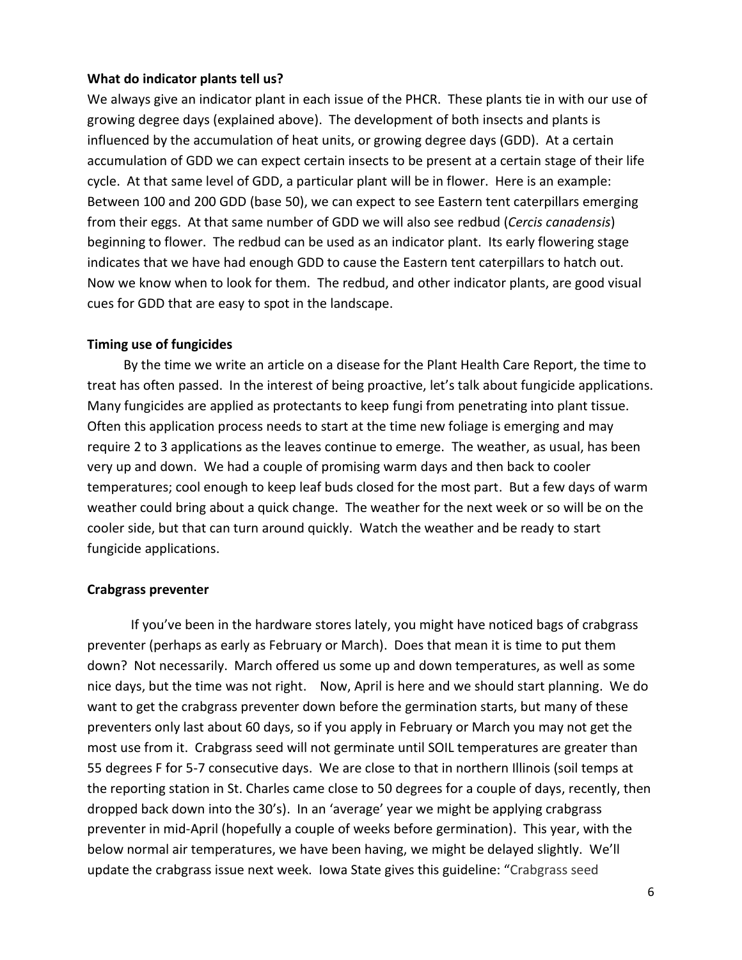#### **What do indicator plants tell us?**

We always give an indicator plant in each issue of the PHCR. These plants tie in with our use of growing degree days (explained above). The development of both insects and plants is influenced by the accumulation of heat units, or growing degree days (GDD). At a certain accumulation of GDD we can expect certain insects to be present at a certain stage of their life cycle. At that same level of GDD, a particular plant will be in flower. Here is an example: Between 100 and 200 GDD (base 50), we can expect to see Eastern tent caterpillars emerging from their eggs. At that same number of GDD we will also see redbud (*Cercis canadensis*) beginning to flower. The redbud can be used as an indicator plant. Its early flowering stage indicates that we have had enough GDD to cause the Eastern tent caterpillars to hatch out. Now we know when to look for them. The redbud, and other indicator plants, are good visual cues for GDD that are easy to spot in the landscape.

#### **Timing use of fungicides**

 By the time we write an article on a disease for the Plant Health Care Report, the time to treat has often passed. In the interest of being proactive, let's talk about fungicide applications. Many fungicides are applied as protectants to keep fungi from penetrating into plant tissue. Often this application process needs to start at the time new foliage is emerging and may require 2 to 3 applications as the leaves continue to emerge. The weather, as usual, has been very up and down. We had a couple of promising warm days and then back to cooler temperatures; cool enough to keep leaf buds closed for the most part. But a few days of warm weather could bring about a quick change. The weather for the next week or so will be on the cooler side, but that can turn around quickly. Watch the weather and be ready to start fungicide applications.

#### **Crabgrass preventer**

If you've been in the hardware stores lately, you might have noticed bags of crabgrass preventer (perhaps as early as February or March). Does that mean it is time to put them down? Not necessarily. March offered us some up and down temperatures, as well as some nice days, but the time was not right. Now, April is here and we should start planning. We do want to get the crabgrass preventer down before the germination starts, but many of these preventers only last about 60 days, so if you apply in February or March you may not get the most use from it. Crabgrass seed will not germinate until SOIL temperatures are greater than 55 degrees F for 5-7 consecutive days. We are close to that in northern Illinois (soil temps at the reporting station in St. Charles came close to 50 degrees for a couple of days, recently, then dropped back down into the 30's). In an 'average' year we might be applying crabgrass preventer in mid-April (hopefully a couple of weeks before germination). This year, with the below normal air temperatures, we have been having, we might be delayed slightly. We'll update the crabgrass issue next week. Iowa State gives this guideline: "Crabgrass seed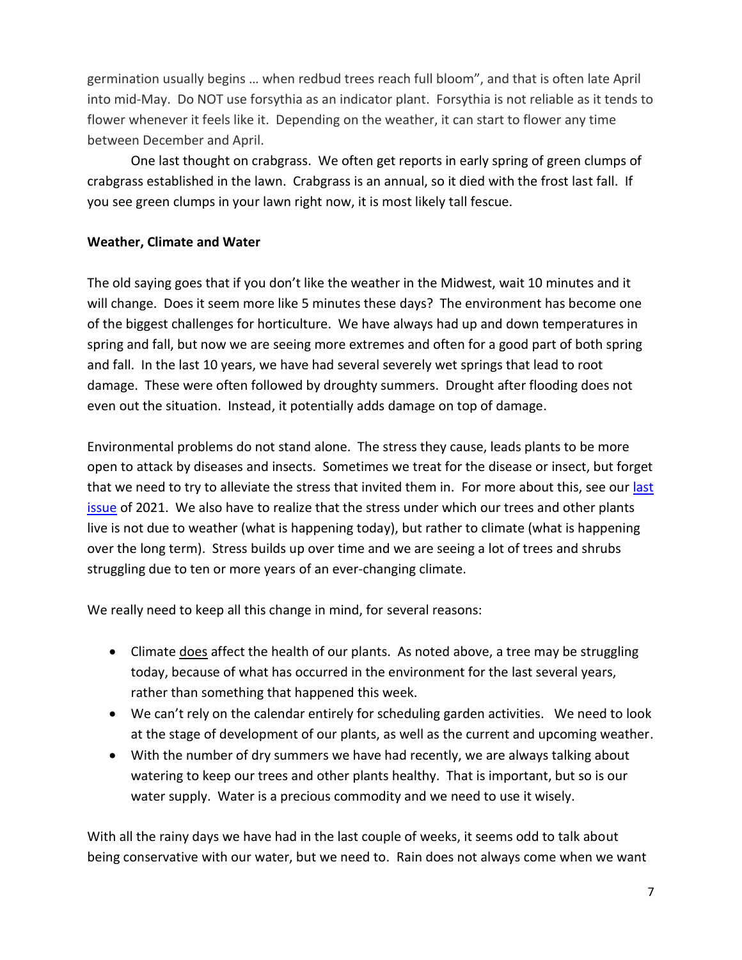germination usually begins … when redbud trees reach full bloom", and that is often late April into mid-May. Do NOT use forsythia as an indicator plant. Forsythia is not reliable as it tends to flower whenever it feels like it. Depending on the weather, it can start to flower any time between December and April.

One last thought on crabgrass. We often get reports in early spring of green clumps of crabgrass established in the lawn. Crabgrass is an annual, so it died with the frost last fall. If you see green clumps in your lawn right now, it is most likely tall fescue.

#### **Weather, Climate and Water**

The old saying goes that if you don't like the weather in the Midwest, wait 10 minutes and it will change. Does it seem more like 5 minutes these days? The environment has become one of the biggest challenges for horticulture. We have always had up and down temperatures in spring and fall, but now we are seeing more extremes and often for a good part of both spring and fall. In the last 10 years, we have had several severely wet springs that lead to root damage. These were often followed by droughty summers. Drought after flooding does not even out the situation. Instead, it potentially adds damage on top of damage.

Environmental problems do not stand alone. The stress they cause, leads plants to be more open to attack by diseases and insects. Sometimes we treat for the disease or insect, but forget that we need to try to alleviate the stress that invited them in. For more about this, see our last [issue](https://mortonarb.org/app/uploads/2021/09/Plant_Health_Care_Report_2021_13.pdf) of 2021. We also have to realize that the stress under which our trees and other plants live is not due to weather (what is happening today), but rather to climate (what is happening over the long term). Stress builds up over time and we are seeing a lot of trees and shrubs struggling due to ten or more years of an ever-changing climate.

We really need to keep all this change in mind, for several reasons:

- Climate *does* affect the health of our plants. As noted above, a tree may be struggling today, because of what has occurred in the environment for the last several years, rather than something that happened this week.
- We can't rely on the calendar entirely for scheduling garden activities. We need to look at the stage of development of our plants, as well as the current and upcoming weather.
- With the number of dry summers we have had recently, we are always talking about watering to keep our trees and other plants healthy. That is important, but so is our water supply. Water is a precious commodity and we need to use it wisely.

With all the rainy days we have had in the last couple of weeks, it seems odd to talk about being conservative with our water, but we need to. Rain does not always come when we want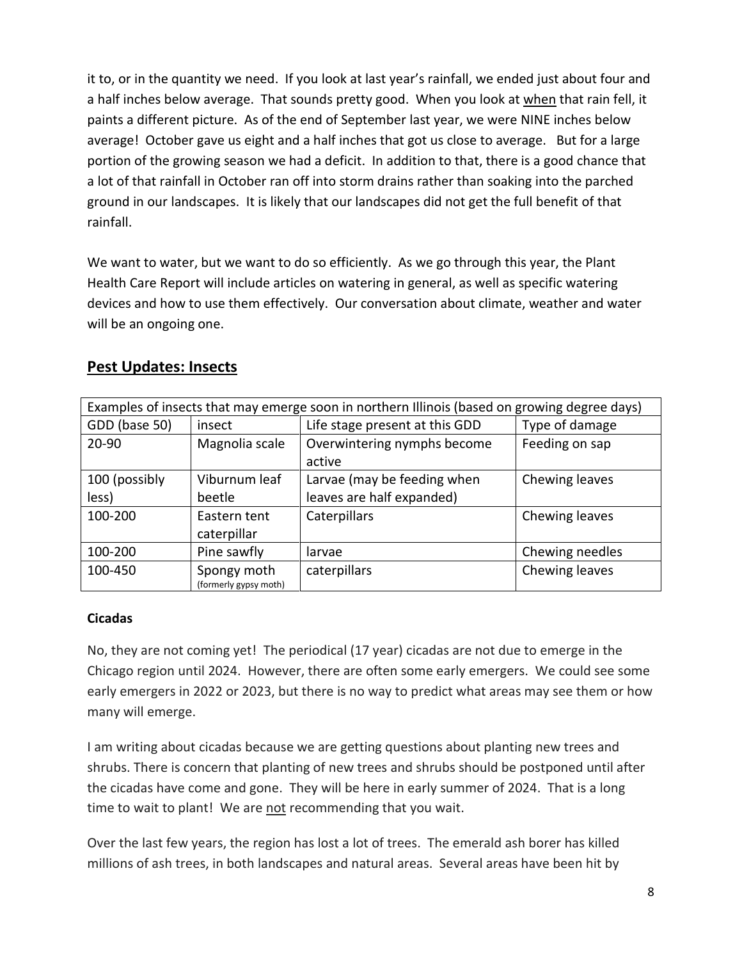it to, or in the quantity we need. If you look at last year's rainfall, we ended just about four and a half inches below average. That sounds pretty good. When you look at when that rain fell, it paints a different picture. As of the end of September last year, we were NINE inches below average! October gave us eight and a half inches that got us close to average. But for a large portion of the growing season we had a deficit. In addition to that, there is a good chance that a lot of that rainfall in October ran off into storm drains rather than soaking into the parched ground in our landscapes. It is likely that our landscapes did not get the full benefit of that rainfall.

We want to water, but we want to do so efficiently. As we go through this year, the Plant Health Care Report will include articles on watering in general, as well as specific watering devices and how to use them effectively. Our conversation about climate, weather and water will be an ongoing one.

| <b>Pest Updates: Insects</b> |  |
|------------------------------|--|
|                              |  |

| Examples of insects that may emerge soon in northern Illinois (based on growing degree days) |                                      |                                |                 |
|----------------------------------------------------------------------------------------------|--------------------------------------|--------------------------------|-----------------|
| GDD (base 50)                                                                                | insect                               | Life stage present at this GDD | Type of damage  |
| 20-90                                                                                        | Magnolia scale                       | Overwintering nymphs become    | Feeding on sap  |
|                                                                                              |                                      | active                         |                 |
| 100 (possibly                                                                                | Viburnum leaf                        | Larvae (may be feeding when    | Chewing leaves  |
| less)                                                                                        | beetle                               | leaves are half expanded)      |                 |
| 100-200                                                                                      | Eastern tent                         | Caterpillars                   | Chewing leaves  |
|                                                                                              | caterpillar                          |                                |                 |
| 100-200                                                                                      | Pine sawfly                          | larvae                         | Chewing needles |
| 100-450                                                                                      | Spongy moth<br>(formerly gypsy moth) | caterpillars                   | Chewing leaves  |

#### **Cicadas**

No, they are not coming yet! The periodical (17 year) cicadas are not due to emerge in the Chicago region until 2024. However, there are often some early emergers. We could see some early emergers in 2022 or 2023, but there is no way to predict what areas may see them or how many will emerge.

I am writing about cicadas because we are getting questions about planting new trees and shrubs. There is concern that planting of new trees and shrubs should be postponed until after the cicadas have come and gone. They will be here in early summer of 2024. That is a long time to wait to plant! We are not recommending that you wait.

Over the last few years, the region has lost a lot of trees. The emerald ash borer has killed millions of ash trees, in both landscapes and natural areas. Several areas have been hit by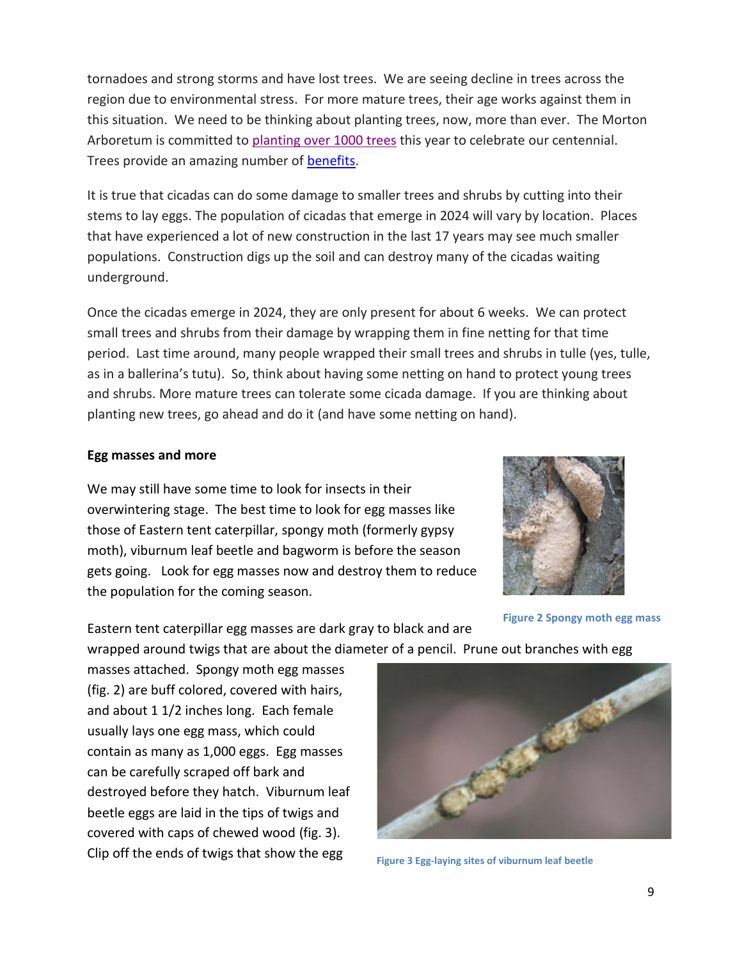tornadoes and strong storms and have lost trees. We are seeing decline in trees across the region due to environmental stress. For more mature trees, their age works against them in this situation. We need to be thinking about planting trees, now, more than ever. The Morton Arboretum is committed to planting over [1000 trees](https://mortonarb.org/centennial/tree-planting-initiative/) this year to celebrate our centennial. Trees provide an amazing number of [benefits.](https://mortonarb.org/plant-and-protect/benefits-of-trees/)

It is true that cicadas can do some damage to smaller trees and shrubs by cutting into their stems to lay eggs. The population of cicadas that emerge in 2024 will vary by location. Places that have experienced a lot of new construction in the last 17 years may see much smaller populations. Construction digs up the soil and can destroy many of the cicadas waiting underground.

Once the cicadas emerge in 2024, they are only present for about 6 weeks. We can protect small trees and shrubs from their damage by wrapping them in fine netting for that time period. Last time around, many people wrapped their small trees and shrubs in tulle (yes, tulle, as in a ballerina's tutu). So, think about having some netting on hand to protect young trees and shrubs. More mature trees can tolerate some cicada damage. If you are thinking about planting new trees, go ahead and do it (and have some netting on hand).

#### **Egg masses and more**

We may still have some time to look for insects in their overwintering stage. The best time to look for egg masses like those of Eastern tent caterpillar, spongy moth (formerly gypsy moth), viburnum leaf beetle and bagworm is before the season gets going. Look for egg masses now and destroy them to reduce the population for the coming season.

Eastern tent caterpillar egg masses are dark gray to black and are



**Figure 2 Spongy moth egg mass**

wrapped around twigs that are about the diameter of a pencil. Prune out branches with egg

masses attached. Spongy moth egg masses (fig. 2) are buff colored, covered with hairs, and about 1 1/2 inches long. Each female usually lays one egg mass, which could contain as many as 1,000 eggs. Egg masses can be carefully scraped off bark and destroyed before they hatch. Viburnum leaf beetle eggs are laid in the tips of twigs and covered with caps of chewed wood (fig. 3). Clip off the ends of twigs that show the egg



**Figure 3 Egg-laying sites of viburnum leaf beetle**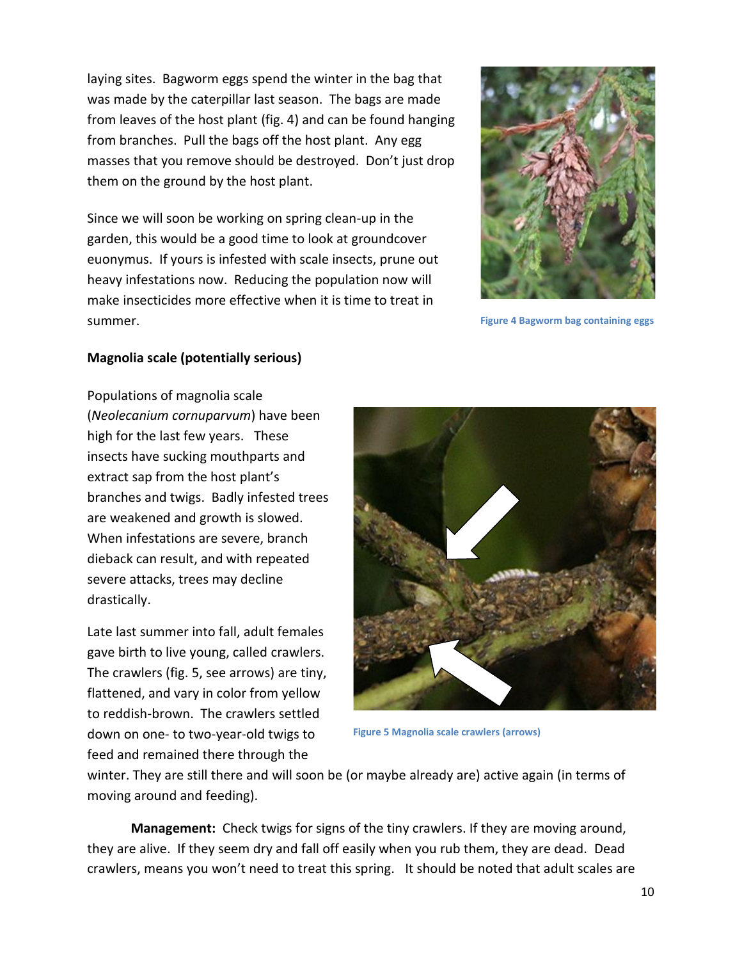laying sites. Bagworm eggs spend the winter in the bag that was made by the caterpillar last season. The bags are made from leaves of the host plant (fig. 4) and can be found hanging from branches. Pull the bags off the host plant. Any egg masses that you remove should be destroyed. Don't just drop them on the ground by the host plant.

Since we will soon be working on spring clean-up in the garden, this would be a good time to look at groundcover euonymus. If yours is infested with scale insects, prune out heavy infestations now. Reducing the population now will make insecticides more effective when it is time to treat in summer.



**Figure 4 Bagworm bag containing eggs**

#### **Magnolia scale (potentially serious)**

Populations of magnolia scale (*Neolecanium cornuparvum*) have been high for the last few years. These insects have sucking mouthparts and extract sap from the host plant's branches and twigs. Badly infested trees are weakened and growth is slowed. When infestations are severe, branch dieback can result, and with repeated severe attacks, trees may decline drastically.

Late last summer into fall, adult females gave birth to live young, called crawlers. The crawlers (fig. 5, see arrows) are tiny, flattened, and vary in color from yellow to reddish-brown. The crawlers settled down on one- to two-year-old twigs to feed and remained there through the



**Figure 5 Magnolia scale crawlers (arrows)**

winter. They are still there and will soon be (or maybe already are) active again (in terms of moving around and feeding).

**Management:** Check twigs for signs of the tiny crawlers. If they are moving around, they are alive. If they seem dry and fall off easily when you rub them, they are dead. Dead crawlers, means you won't need to treat this spring. It should be noted that adult scales are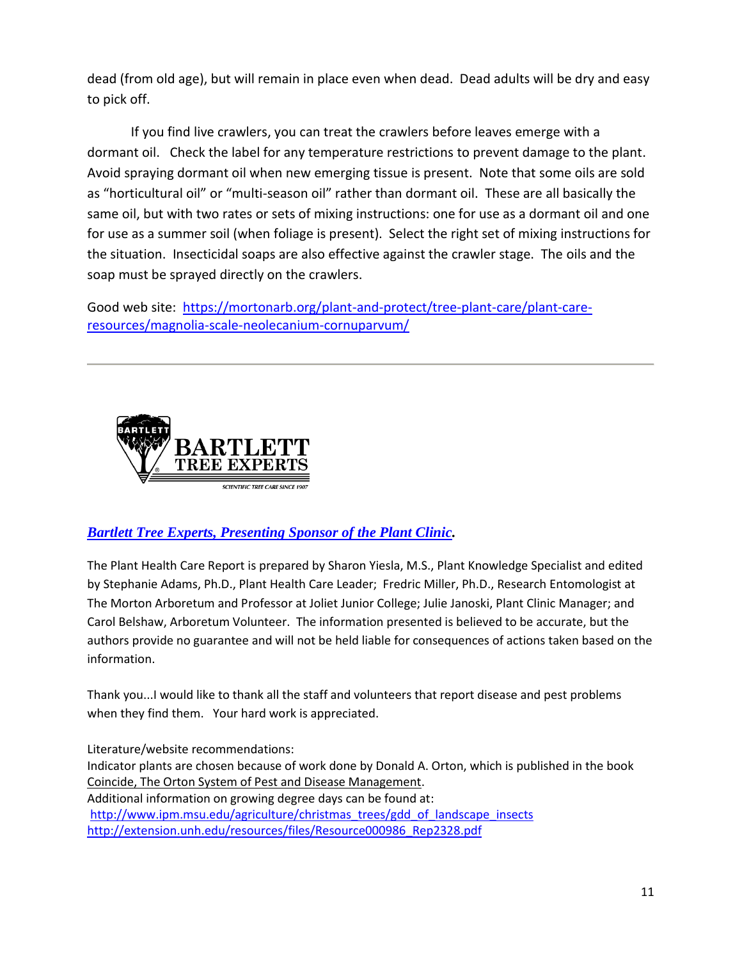dead (from old age), but will remain in place even when dead. Dead adults will be dry and easy to pick off.

If you find live crawlers, you can treat the crawlers before leaves emerge with a dormant oil. Check the label for any temperature restrictions to prevent damage to the plant. Avoid spraying dormant oil when new emerging tissue is present. Note that some oils are sold as "horticultural oil" or "multi-season oil" rather than dormant oil. These are all basically the same oil, but with two rates or sets of mixing instructions: one for use as a dormant oil and one for use as a summer soil (when foliage is present). Select the right set of mixing instructions for the situation. Insecticidal soaps are also effective against the crawler stage. The oils and the soap must be sprayed directly on the crawlers.

Good web site: [https://mortonarb.org/plant-and-protect/tree-plant-care/plant-care](https://mortonarb.org/plant-and-protect/tree-plant-care/plant-care-resources/magnolia-scale-neolecanium-cornuparvum/)[resources/magnolia-scale-neolecanium-cornuparvum/](https://mortonarb.org/plant-and-protect/tree-plant-care/plant-care-resources/magnolia-scale-neolecanium-cornuparvum/)



### *[Bartlett Tree Experts, Presenting Sponsor of the Plant Clinic.](https://www.bartlett.com/)*

The Plant Health Care Report is prepared by Sharon Yiesla, M.S., Plant Knowledge Specialist and edited by Stephanie Adams, Ph.D., Plant Health Care Leader; Fredric Miller, Ph.D., Research Entomologist at The Morton Arboretum and Professor at Joliet Junior College; Julie Janoski, Plant Clinic Manager; and Carol Belshaw, Arboretum Volunteer. The information presented is believed to be accurate, but the authors provide no guarantee and will not be held liable for consequences of actions taken based on the information.

Thank you...I would like to thank all the staff and volunteers that report disease and pest problems when they find them. Your hard work is appreciated.

Literature/website recommendations: Indicator plants are chosen because of work done by Donald A. Orton, which is published in the book Coincide, The Orton System of Pest and Disease Management. Additional information on growing degree days can be found at: [http://www.ipm.msu.edu/agriculture/christmas\\_trees/gdd\\_of\\_landscape\\_insects](http://www.ipm.msu.edu/agriculture/christmas_trees/gdd_of_landscape_insects) [http://extension.unh.edu/resources/files/Resource000986\\_Rep2328.pdf](http://extension.unh.edu/resources/files/Resource000986_Rep2328.pdf)